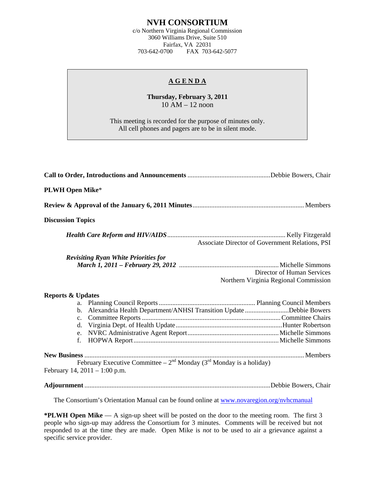## **NVH CONSORTIUM**

c/o Northern Virginia Regional Commission 3060 Williams Drive, Suite 510 Fairfax, VA 22031<br>703-642-0700 FAX 703-FAX 703-642-5077

## **A G E N D A**

**Thursday, February 3, 2011**  10 AM – 12 noon

This meeting is recorded for the purpose of minutes only. All cell phones and pagers are to be in silent mode.

| <b>PLWH Open Mike*</b>                                                                                                     |
|----------------------------------------------------------------------------------------------------------------------------|
|                                                                                                                            |
| <b>Discussion Topics</b>                                                                                                   |
| Associate Director of Government Relations, PSI                                                                            |
| <b>Revisiting Ryan White Priorities for</b><br>Director of Human Services<br>Northern Virginia Regional Commission         |
| <b>Reports &amp; Updates</b><br>b. Alexandria Health Department/ANHSI Transition Update Debbie Bowers<br>e.<br>$f_{\perp}$ |
| February Executive Committee – $2^{nd}$ Monday (3 <sup>rd</sup> Monday is a holiday)<br>February 14, $2011 - 1:00$ p.m.    |
|                                                                                                                            |
| The Consortium's Orientation Manual can be found online at www.novaregion.org/nvhcmanual                                   |

**\*PLWH Open Mike** — A sign-up sheet will be posted on the door to the meeting room. The first 3 people who sign-up may address the Consortium for 3 minutes. Comments will be received but not responded to at the time they are made. Open Mike is *not* to be used to air a grievance against a specific service provider.